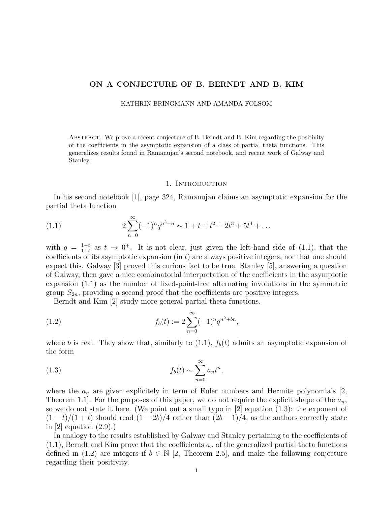# ON A CONJECTURE OF B. BERNDT AND B. KIM

KATHRIN BRINGMANN AND AMANDA FOLSOM

Abstract. We prove a recent conjecture of B. Berndt and B. Kim regarding the positivity of the coefficients in the asymptotic expansion of a class of partial theta functions. This generalizes results found in Ramanujan's second notebook, and recent work of Galway and Stanley.

#### 1. INTRODUCTION

In his second notebook [1], page 324, Ramanujan claims an asymptotic expansion for the partial theta function

(1.1) 
$$
2\sum_{n=0}^{\infty}(-1)^nq^{n^2+n} \sim 1 + t + t^2 + 2t^3 + 5t^4 + \dots
$$

with  $q = \frac{1-t}{1+t}$  $\frac{1-t}{1+t}$  as  $t \to 0^+$ . It is not clear, just given the left-hand side of (1.1), that the coefficients of its asymptotic expansion (in  $t$ ) are always positive integers, nor that one should expect this. Galway [3] proved this curious fact to be true. Stanley [5], answering a question of Galway, then gave a nice combinatorial interpretation of the coefficients in the asymptotic expansion (1.1) as the number of fixed-point-free alternating involutions in the symmetric group  $S_{2n}$ , providing a second proof that the coefficients are positive integers.

Berndt and Kim [2] study more general partial theta functions.

(1.2) 
$$
f_b(t) := 2 \sum_{n=0}^{\infty} (-1)^n q^{n^2 + bn},
$$

where b is real. They show that, similarly to  $(1.1)$ ,  $f<sub>b</sub>(t)$  admits an asymptotic expansion of the form

(1.3) 
$$
f_b(t) \sim \sum_{n=0}^{\infty} a_n t^n,
$$

where the  $a_n$  are given explicitely in term of Euler numbers and Hermite polynomials  $\ket{2}$ , Theorem 1.1. For the purposes of this paper, we do not require the explicit shape of the  $a_n$ , so we do not state it here. (We point out a small typo in  $[2]$  equation  $(1.3)$ : the exponent of  $(1-t)/(1+t)$  should read  $(1-2b)/4$  rather than  $(2b-1)/4$ , as the authors correctly state in  $[2]$  equation  $(2.9)$ .

In analogy to the results established by Galway and Stanley pertaining to the coefficients of  $(1.1)$ , Berndt and Kim prove that the coefficients  $a_n$  of the generalized partial theta functions defined in (1.2) are integers if  $b \in \mathbb{N}$  [2, Theorem 2.5], and make the following conjecture regarding their positivity.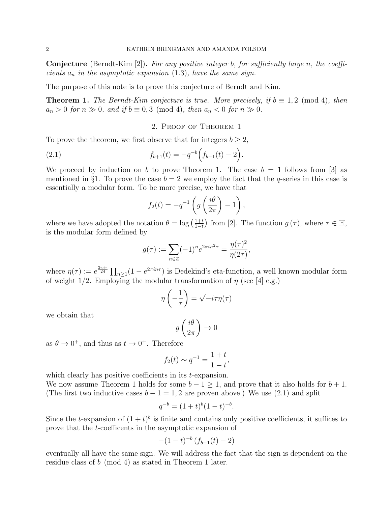**Conjecture** (Berndt-Kim [2]). For any positive integer b, for sufficiently large n, the coefficients  $a_n$  in the asymptotic expansion (1.3), have the same sign.

The purpose of this note is to prove this conjecture of Berndt and Kim.

**Theorem 1.** The Berndt-Kim conjecture is true. More precisely, if  $b \equiv 1, 2 \pmod{4}$ , then  $a_n > 0$  for  $n \gg 0$ , and if  $b \equiv 0, 3 \pmod{4}$ , then  $a_n < 0$  for  $n \gg 0$ .

### 2. Proof of Theorem 1

To prove the theorem, we first observe that for integers  $b \geq 2$ ,

(2.1) 
$$
f_{b+1}(t) = -q^{-b} \Big( f_{b-1}(t) - 2 \Big).
$$

We proceed by induction on b to prove Theorem 1. The case  $b = 1$  follows from [3] as mentioned in §1. To prove the case  $b = 2$  we employ the fact that the q-series in this case is essentially a modular form. To be more precise, we have that

$$
f_2(t) = -q^{-1} \left( g \left( \frac{i\theta}{2\pi} \right) - 1 \right),
$$

where we have adopted the notation  $\theta = \log \left( \frac{1+t}{1-t} \right)$  $\frac{1+t}{1-t}$  from [2]. The function  $g(\tau)$ , where  $\tau \in \mathbb{H}$ , is the modular form defined by

$$
g(\tau) := \sum_{n \in \mathbb{Z}} (-1)^n e^{2\pi i n^2 \tau} = \frac{\eta(\tau)^2}{\eta(2\tau)},
$$

where  $\eta(\tau) := e^{\frac{2\pi i \tau}{24}} \prod_{n \geq 1} (1 - e^{2\pi i n \tau})$  is Dedekind's eta-function, a well known modular form of weight 1/2. Employing the modular transformation of  $\eta$  (see [4] e.g.)

$$
\eta\left(-\frac{1}{\tau}\right) = \sqrt{-i\tau}\eta(\tau)
$$

we obtain that

$$
g\left(\frac{i\theta}{2\pi}\right)\to 0
$$

as  $\theta \to 0^+$ , and thus as  $t \to 0^+$ . Therefore

$$
f_2(t) \sim q^{-1} = \frac{1+t}{1-t},
$$

which clearly has positive coefficients in its *t*-expansion. We now assume Theorem 1 holds for some  $b - 1 \ge 1$ , and prove that it also holds for  $b + 1$ . (The first two inductive cases  $b - 1 = 1, 2$  are proven above.) We use (2.1) and split

$$
q^{-b} = (1+t)^b (1-t)^{-b}.
$$

Since the t-expansion of  $(1 + t)^b$  is finite and contains only positive coefficients, it suffices to prove that the t-coefficents in the asymptotic expansion of

$$
-(1-t)^{-b} (f_{b-1}(t) - 2)
$$

eventually all have the same sign. We will address the fact that the sign is dependent on the residue class of b (mod 4) as stated in Theorem 1 later.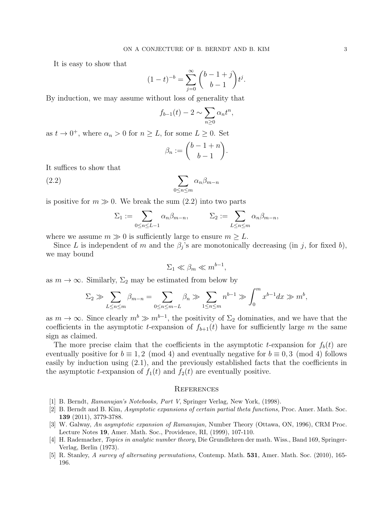It is easy to show that

$$
(1-t)^{-b} = \sum_{j=0}^{\infty} {b-1+j \choose b-1} t^j.
$$

By induction, we may assume without loss of generality that

$$
f_{b-1}(t) - 2 \sim \sum_{n\geq 0} \alpha_n t^n,
$$

as  $t \to 0^+$ , where  $\alpha_n > 0$  for  $n \geq L$ , for some  $L \geq 0$ . Set

$$
\beta_n := \binom{b-1+n}{b-1}.
$$

It suffices to show that

$$
\sum_{0 \le n \le m} \alpha_n \beta_{m-n}
$$

is positive for  $m \gg 0$ . We break the sum (2.2) into two parts

$$
\Sigma_1 := \sum_{0 \le n \le L-1} \alpha_n \beta_{m-n}, \qquad \Sigma_2 := \sum_{L \le n \le m} \alpha_n \beta_{m-n},
$$

where we assume  $m \gg 0$  is sufficiently large to ensure  $m \geq L$ .

Since L is independent of m and the  $\beta_j$ 's are monotonically decreasing (in j, for fixed b), we may bound

$$
\Sigma_1 \ll \beta_m \ll m^{b-1},
$$

as  $m \to \infty$ . Similarly,  $\Sigma_2$  may be estimated from below by

$$
\Sigma_2 \gg \sum_{L \leq n \leq m} \beta_{m-n} = \sum_{0 \leq n \leq m-L} \beta_n \gg \sum_{1 \leq n \leq m} n^{b-1} \gg \int_0^m x^{b-1} dx \gg m^b,
$$

as  $m \to \infty$ . Since clearly  $m^b \gg m^{b-1}$ , the positivity of  $\Sigma_2$  dominaties, and we have that the coefficients in the asymptotic t-expansion of  $f_{b+1}(t)$  have for sufficiently large m the same sign as claimed.

The more precise claim that the coefficients in the asymptotic t-expansion for  $f<sub>b</sub>(t)$  are eventually positive for  $b \equiv 1, 2 \pmod{4}$  and eventually negative for  $b \equiv 0, 3 \pmod{4}$  follows easily by induction using (2.1), and the previously established facts that the coefficients in the asymptotic t-expansion of  $f_1(t)$  and  $f_2(t)$  are eventually positive.

#### **REFERENCES**

- [1] B. Berndt, Ramanujan's Notebooks, Part V, Springer Verlag, New York, (1998).
- [2] B. Berndt and B. Kim, Asymptotic expansions of certain partial theta functions, Proc. Amer. Math. Soc. 139 (2011), 3779-3788.
- [3] W. Galway, An asymptotic expansion of Ramanujan, Number Theory (Ottawa, ON, 1996), CRM Proc. Lecture Notes 19, Amer. Math. Soc., Providence, RI, (1999), 107-110.
- [4] H. Rademacher, Topics in analytic number theory, Die Grundlehren der math. Wiss., Band 169, Springer-Verlag, Berlin (1973).
- [5] R. Stanley, A survey of alternating permutations, Contemp. Math. 531, Amer. Math. Soc. (2010), 165- 196.